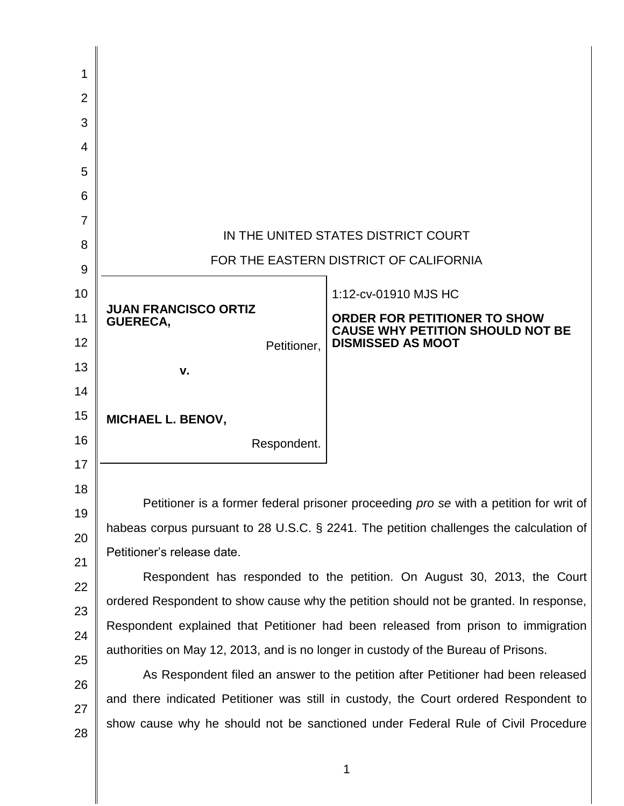| 1              |                                                                                        |                                                                                |  |
|----------------|----------------------------------------------------------------------------------------|--------------------------------------------------------------------------------|--|
| $\overline{2}$ |                                                                                        |                                                                                |  |
| 3              |                                                                                        |                                                                                |  |
| 4              |                                                                                        |                                                                                |  |
| 5              |                                                                                        |                                                                                |  |
| 6              |                                                                                        |                                                                                |  |
| 7              |                                                                                        |                                                                                |  |
| 8              | IN THE UNITED STATES DISTRICT COURT                                                    |                                                                                |  |
| 9              | FOR THE EASTERN DISTRICT OF CALIFORNIA                                                 |                                                                                |  |
| 10             |                                                                                        | 1:12-cv-01910 MJS HC                                                           |  |
| 11             | <b>JUAN FRANCISCO ORTIZ</b><br><b>GUERECA,</b>                                         | <b>ORDER FOR PETITIONER TO SHOW</b><br><b>CAUSE WHY PETITION SHOULD NOT BE</b> |  |
| 12             | Petitioner,                                                                            | <b>DISMISSED AS MOOT</b>                                                       |  |
| 13             | v.                                                                                     |                                                                                |  |
| 14             |                                                                                        |                                                                                |  |
| 15             | <b>MICHAEL L. BENOV,</b>                                                               |                                                                                |  |
| 16             | Respondent.                                                                            |                                                                                |  |
| 17             |                                                                                        |                                                                                |  |
| 18             |                                                                                        |                                                                                |  |
| 19             | Petitioner is a former federal prisoner proceeding pro se with a petition for writ of  |                                                                                |  |
| 20             | habeas corpus pursuant to 28 U.S.C. § 2241. The petition challenges the calculation of |                                                                                |  |
| 21             | Petitioner's release date.                                                             |                                                                                |  |
| 22             | Respondent has responded to the petition. On August 30, 2013, the Court                |                                                                                |  |
| 23             | ordered Respondent to show cause why the petition should not be granted. In response,  |                                                                                |  |
| 24             | Respondent explained that Petitioner had been released from prison to immigration      |                                                                                |  |
| 25             | authorities on May 12, 2013, and is no longer in custody of the Bureau of Prisons.     |                                                                                |  |
| 26             | As Respondent filed an answer to the petition after Petitioner had been released       |                                                                                |  |
| 27             | and there indicated Petitioner was still in custody, the Court ordered Respondent to   |                                                                                |  |
| 28             | show cause why he should not be sanctioned under Federal Rule of Civil Procedure       |                                                                                |  |

1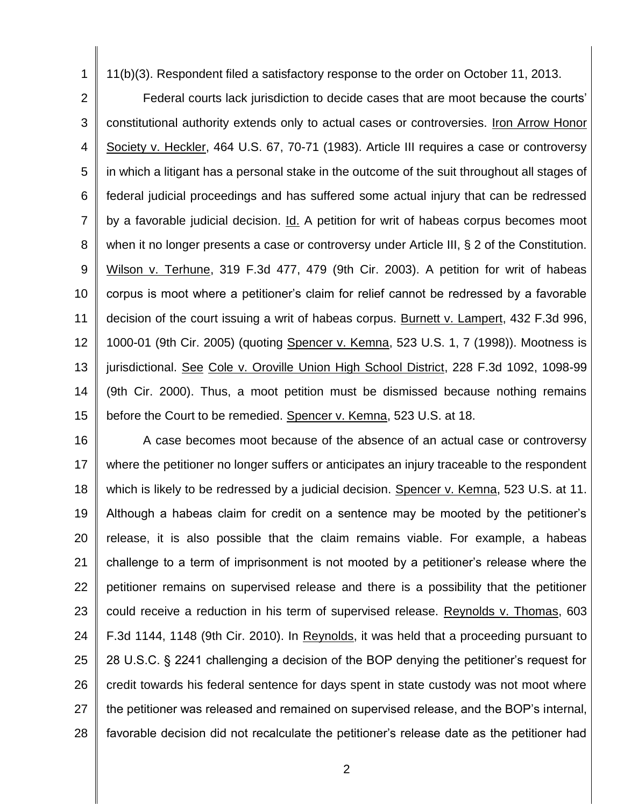11(b)(3). Respondent filed a satisfactory response to the order on October 11, 2013.

1

2 3 4 5 6 7 8 9 10 11 12 13 14 15 Federal courts lack jurisdiction to decide cases that are moot because the courts' constitutional authority extends only to actual cases or controversies. Iron Arrow Honor Society v. Heckler, 464 U.S. 67, 70-71 (1983). Article III requires a case or controversy in which a litigant has a personal stake in the outcome of the suit throughout all stages of federal judicial proceedings and has suffered some actual injury that can be redressed by a favorable judicial decision. Id. A petition for writ of habeas corpus becomes moot when it no longer presents a case or controversy under Article III, § 2 of the Constitution. Wilson v. Terhune, 319 F.3d 477, 479 (9th Cir. 2003). A petition for writ of habeas corpus is moot where a petitioner's claim for relief cannot be redressed by a favorable decision of the court issuing a writ of habeas corpus. Burnett v. Lampert, 432 F.3d 996, 1000-01 (9th Cir. 2005) (quoting Spencer v. Kemna, 523 U.S. 1, 7 (1998)). Mootness is jurisdictional. See Cole v. Oroville Union High School District, 228 F.3d 1092, 1098-99 (9th Cir. 2000). Thus, a moot petition must be dismissed because nothing remains before the Court to be remedied. Spencer v. Kemna, 523 U.S. at 18.

16 17 18 19 20 21 22 23 24 25 26 27 28 A case becomes moot because of the absence of an actual case or controversy where the petitioner no longer suffers or anticipates an injury traceable to the respondent which is likely to be redressed by a judicial decision. Spencer v. Kemna, 523 U.S. at 11. Although a habeas claim for credit on a sentence may be mooted by the petitioner's release, it is also possible that the claim remains viable. For example, a habeas challenge to a term of imprisonment is not mooted by a petitioner's release where the petitioner remains on supervised release and there is a possibility that the petitioner could receive a reduction in his term of supervised release. Reynolds v. Thomas, 603 F.3d 1144, 1148 (9th Cir. 2010). In Reynolds, it was held that a proceeding pursuant to 28 U.S.C. § 2241 challenging a decision of the BOP denying the petitioner's request for credit towards his federal sentence for days spent in state custody was not moot where the petitioner was released and remained on supervised release, and the BOP's internal, favorable decision did not recalculate the petitioner's release date as the petitioner had

2